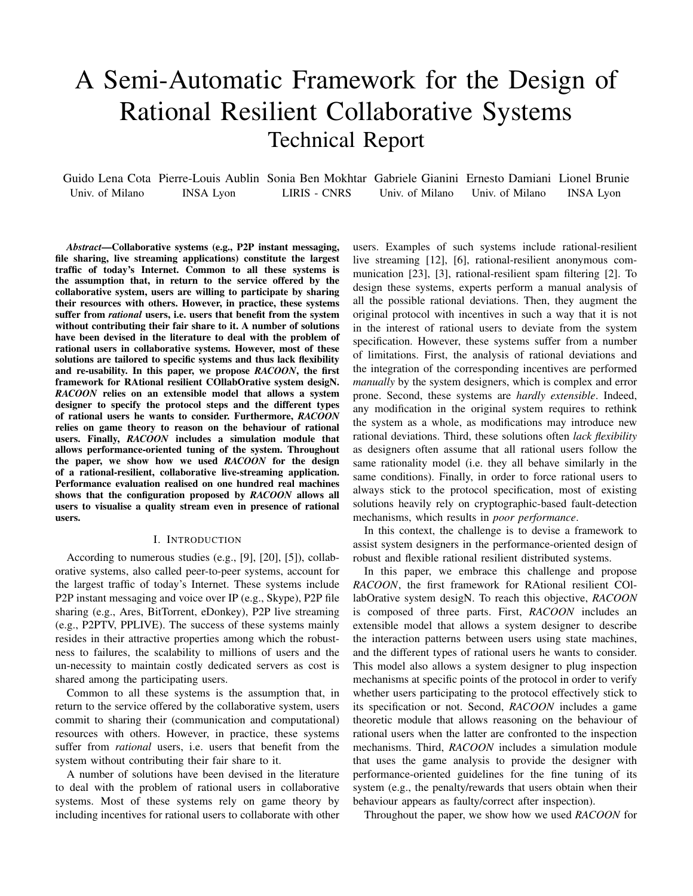# A Semi-Automatic Framework for the Design of Rational Resilient Collaborative Systems Technical Report

Guido Lena Cota Pierre-Louis Aublin Sonia Ben Mokhtar Gabriele Gianini Ernesto Damiani Lionel Brunie Univ. of Milano INSA Lyon LIRIS - CNRS Univ. of Milano Univ. of Milano INSA Lyon

*Abstract*—Collaborative systems (e.g., P2P instant messaging, file sharing, live streaming applications) constitute the largest traffic of today's Internet. Common to all these systems is the assumption that, in return to the service offered by the collaborative system, users are willing to participate by sharing their resources with others. However, in practice, these systems suffer from *rational* users, i.e. users that benefit from the system without contributing their fair share to it. A number of solutions have been devised in the literature to deal with the problem of rational users in collaborative systems. However, most of these solutions are tailored to specific systems and thus lack flexibility and re-usability. In this paper, we propose *RACOON*, the first framework for RAtional resilient COllabOrative system desigN. *RACOON* relies on an extensible model that allows a system designer to specify the protocol steps and the different types of rational users he wants to consider. Furthermore, *RACOON* relies on game theory to reason on the behaviour of rational users. Finally, *RACOON* includes a simulation module that allows performance-oriented tuning of the system. Throughout the paper, we show how we used *RACOON* for the design of a rational-resilient, collaborative live-streaming application. Performance evaluation realised on one hundred real machines shows that the configuration proposed by *RACOON* allows all users to visualise a quality stream even in presence of rational users.

## I. INTRODUCTION

According to numerous studies (e.g., [9], [20], [5]), collaborative systems, also called peer-to-peer systems, account for the largest traffic of today's Internet. These systems include P2P instant messaging and voice over IP (e.g., Skype), P2P file sharing (e.g., Ares, BitTorrent, eDonkey), P2P live streaming (e.g., P2PTV, PPLIVE). The success of these systems mainly resides in their attractive properties among which the robustness to failures, the scalability to millions of users and the un-necessity to maintain costly dedicated servers as cost is shared among the participating users.

Common to all these systems is the assumption that, in return to the service offered by the collaborative system, users commit to sharing their (communication and computational) resources with others. However, in practice, these systems suffer from *rational* users, i.e. users that benefit from the system without contributing their fair share to it.

A number of solutions have been devised in the literature to deal with the problem of rational users in collaborative systems. Most of these systems rely on game theory by including incentives for rational users to collaborate with other users. Examples of such systems include rational-resilient live streaming [12], [6], rational-resilient anonymous communication [23], [3], rational-resilient spam filtering [2]. To design these systems, experts perform a manual analysis of all the possible rational deviations. Then, they augment the original protocol with incentives in such a way that it is not in the interest of rational users to deviate from the system specification. However, these systems suffer from a number of limitations. First, the analysis of rational deviations and the integration of the corresponding incentives are performed *manually* by the system designers, which is complex and error prone. Second, these systems are *hardly extensible*. Indeed, any modification in the original system requires to rethink the system as a whole, as modifications may introduce new rational deviations. Third, these solutions often *lack flexibility* as designers often assume that all rational users follow the same rationality model (i.e. they all behave similarly in the same conditions). Finally, in order to force rational users to always stick to the protocol specification, most of existing solutions heavily rely on cryptographic-based fault-detection mechanisms, which results in *poor performance*.

In this context, the challenge is to devise a framework to assist system designers in the performance-oriented design of robust and flexible rational resilient distributed systems.

In this paper, we embrace this challenge and propose *RACOON*, the first framework for RAtional resilient COllabOrative system desigN. To reach this objective, *RACOON* is composed of three parts. First, *RACOON* includes an extensible model that allows a system designer to describe the interaction patterns between users using state machines, and the different types of rational users he wants to consider. This model also allows a system designer to plug inspection mechanisms at specific points of the protocol in order to verify whether users participating to the protocol effectively stick to its specification or not. Second, *RACOON* includes a game theoretic module that allows reasoning on the behaviour of rational users when the latter are confronted to the inspection mechanisms. Third, *RACOON* includes a simulation module that uses the game analysis to provide the designer with performance-oriented guidelines for the fine tuning of its system (e.g., the penalty/rewards that users obtain when their behaviour appears as faulty/correct after inspection).

Throughout the paper, we show how we used *RACOON* for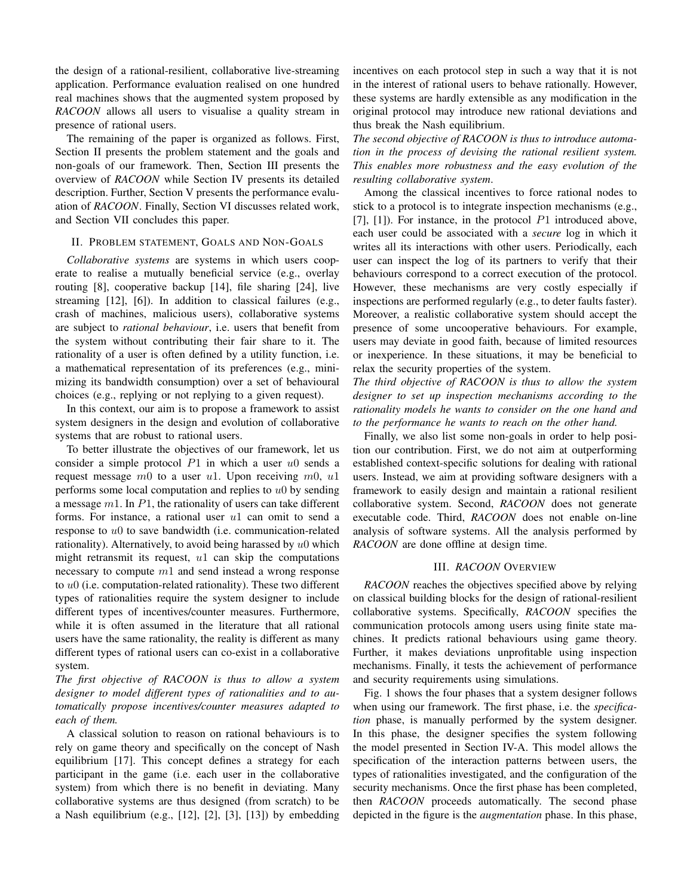the design of a rational-resilient, collaborative live-streaming application. Performance evaluation realised on one hundred real machines shows that the augmented system proposed by *RACOON* allows all users to visualise a quality stream in presence of rational users.

The remaining of the paper is organized as follows. First, Section II presents the problem statement and the goals and non-goals of our framework. Then, Section III presents the overview of *RACOON* while Section IV presents its detailed description. Further, Section V presents the performance evaluation of *RACOON*. Finally, Section VI discusses related work, and Section VII concludes this paper.

## II. PROBLEM STATEMENT, GOALS AND NON-GOALS

*Collaborative systems* are systems in which users cooperate to realise a mutually beneficial service (e.g., overlay routing [8], cooperative backup [14], file sharing [24], live streaming [12], [6]). In addition to classical failures (e.g., crash of machines, malicious users), collaborative systems are subject to *rational behaviour*, i.e. users that benefit from the system without contributing their fair share to it. The rationality of a user is often defined by a utility function, i.e. a mathematical representation of its preferences (e.g., minimizing its bandwidth consumption) over a set of behavioural choices (e.g., replying or not replying to a given request).

In this context, our aim is to propose a framework to assist system designers in the design and evolution of collaborative systems that are robust to rational users.

To better illustrate the objectives of our framework, let us consider a simple protocol  $P1$  in which a user  $u0$  sends a request message  $m0$  to a user u1. Upon receiving  $m0$ , u1 performs some local computation and replies to  $u_0$  by sending a message  $m1$ . In  $P1$ , the rationality of users can take different forms. For instance, a rational user  $u1$  can omit to send a response to u0 to save bandwidth (i.e. communication-related rationality). Alternatively, to avoid being harassed by  $u_0$  which might retransmit its request,  $u_1$  can skip the computations necessary to compute  $m1$  and send instead a wrong response to  $u_0$  (i.e. computation-related rationality). These two different types of rationalities require the system designer to include different types of incentives/counter measures. Furthermore, while it is often assumed in the literature that all rational users have the same rationality, the reality is different as many different types of rational users can co-exist in a collaborative system.

*The first objective of RACOON is thus to allow a system designer to model different types of rationalities and to automatically propose incentives/counter measures adapted to each of them.*

A classical solution to reason on rational behaviours is to rely on game theory and specifically on the concept of Nash equilibrium [17]. This concept defines a strategy for each participant in the game (i.e. each user in the collaborative system) from which there is no benefit in deviating. Many collaborative systems are thus designed (from scratch) to be a Nash equilibrium (e.g., [12], [2], [3], [13]) by embedding

incentives on each protocol step in such a way that it is not in the interest of rational users to behave rationally. However, these systems are hardly extensible as any modification in the original protocol may introduce new rational deviations and thus break the Nash equilibrium.

*The second objective of RACOON is thus to introduce automation in the process of devising the rational resilient system. This enables more robustness and the easy evolution of the resulting collaborative system*.

Among the classical incentives to force rational nodes to stick to a protocol is to integrate inspection mechanisms (e.g., [7],  $[1]$ ). For instance, in the protocol  $P1$  introduced above, each user could be associated with a *secure* log in which it writes all its interactions with other users. Periodically, each user can inspect the log of its partners to verify that their behaviours correspond to a correct execution of the protocol. However, these mechanisms are very costly especially if inspections are performed regularly (e.g., to deter faults faster). Moreover, a realistic collaborative system should accept the presence of some uncooperative behaviours. For example, users may deviate in good faith, because of limited resources or inexperience. In these situations, it may be beneficial to relax the security properties of the system.

*The third objective of RACOON is thus to allow the system designer to set up inspection mechanisms according to the rationality models he wants to consider on the one hand and to the performance he wants to reach on the other hand.*

Finally, we also list some non-goals in order to help position our contribution. First, we do not aim at outperforming established context-specific solutions for dealing with rational users. Instead, we aim at providing software designers with a framework to easily design and maintain a rational resilient collaborative system. Second, *RACOON* does not generate executable code. Third, *RACOON* does not enable on-line analysis of software systems. All the analysis performed by *RACOON* are done offline at design time.

#### III. *RACOON* OVERVIEW

*RACOON* reaches the objectives specified above by relying on classical building blocks for the design of rational-resilient collaborative systems. Specifically, *RACOON* specifies the communication protocols among users using finite state machines. It predicts rational behaviours using game theory. Further, it makes deviations unprofitable using inspection mechanisms. Finally, it tests the achievement of performance and security requirements using simulations.

Fig. 1 shows the four phases that a system designer follows when using our framework. The first phase, i.e. the *specification* phase, is manually performed by the system designer. In this phase, the designer specifies the system following the model presented in Section IV-A. This model allows the specification of the interaction patterns between users, the types of rationalities investigated, and the configuration of the security mechanisms. Once the first phase has been completed, then *RACOON* proceeds automatically. The second phase depicted in the figure is the *augmentation* phase. In this phase,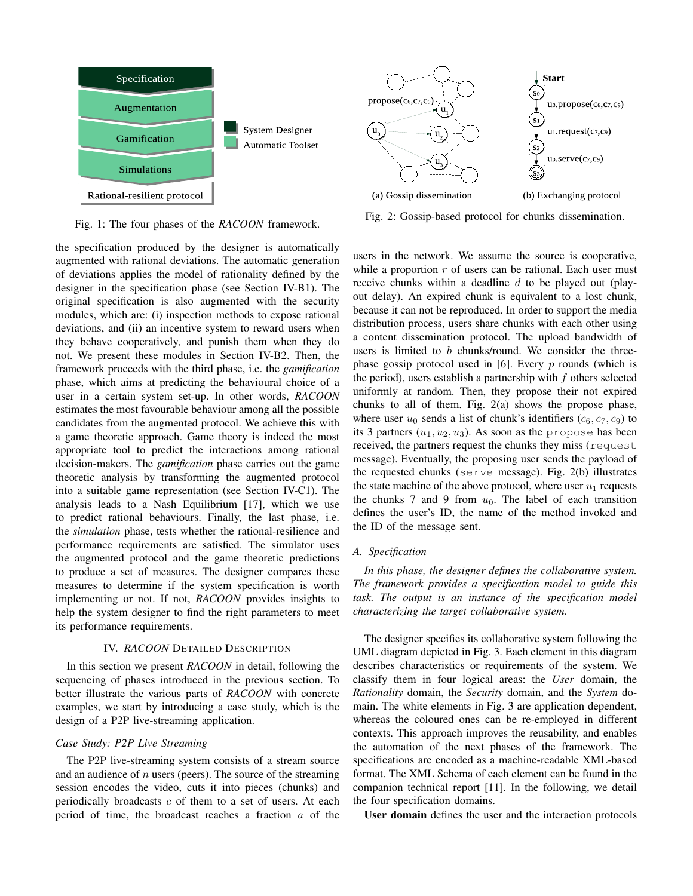

Fig. 1: The four phases of the *RACOON* framework.

the specification produced by the designer is automatically augmented with rational deviations. The automatic generation of deviations applies the model of rationality defined by the designer in the specification phase (see Section IV-B1). The original specification is also augmented with the security modules, which are: (i) inspection methods to expose rational deviations, and (ii) an incentive system to reward users when they behave cooperatively, and punish them when they do not. We present these modules in Section IV-B2. Then, the framework proceeds with the third phase, i.e. the *gamification* phase, which aims at predicting the behavioural choice of a user in a certain system set-up. In other words, *RACOON* estimates the most favourable behaviour among all the possible candidates from the augmented protocol. We achieve this with a game theoretic approach. Game theory is indeed the most appropriate tool to predict the interactions among rational decision-makers. The *gamification* phase carries out the game theoretic analysis by transforming the augmented protocol into a suitable game representation (see Section IV-C1). The analysis leads to a Nash Equilibrium [17], which we use to predict rational behaviours. Finally, the last phase, i.e. the *simulation* phase, tests whether the rational-resilience and performance requirements are satisfied. The simulator uses the augmented protocol and the game theoretic predictions to produce a set of measures. The designer compares these measures to determine if the system specification is worth implementing or not. If not, *RACOON* provides insights to help the system designer to find the right parameters to meet its performance requirements.

## IV. *RACOON* DETAILED DESCRIPTION

In this section we present *RACOON* in detail, following the sequencing of phases introduced in the previous section. To better illustrate the various parts of *RACOON* with concrete examples, we start by introducing a case study, which is the design of a P2P live-streaming application.

### *Case Study: P2P Live Streaming*

The P2P live-streaming system consists of a stream source and an audience of  $n$  users (peers). The source of the streaming session encodes the video, cuts it into pieces (chunks) and periodically broadcasts  $c$  of them to a set of users. At each period of time, the broadcast reaches a fraction a of the



Fig. 2: Gossip-based protocol for chunks dissemination.

users in the network. We assume the source is cooperative, while a proportion  $r$  of users can be rational. Each user must receive chunks within a deadline  $d$  to be played out (playout delay). An expired chunk is equivalent to a lost chunk, because it can not be reproduced. In order to support the media distribution process, users share chunks with each other using a content dissemination protocol. The upload bandwidth of users is limited to  $b$  chunks/round. We consider the threephase gossip protocol used in [6]. Every  $p$  rounds (which is the period), users establish a partnership with  $f$  others selected uniformly at random. Then, they propose their not expired chunks to all of them. Fig. 2(a) shows the propose phase, where user  $u_0$  sends a list of chunk's identifiers  $(c_6, c_7, c_9)$  to its 3 partners  $(u_1, u_2, u_3)$ . As soon as the propose has been received, the partners request the chunks they miss (request message). Eventually, the proposing user sends the payload of the requested chunks (serve message). Fig. 2(b) illustrates the state machine of the above protocol, where user  $u_1$  requests the chunks 7 and 9 from  $u_0$ . The label of each transition defines the user's ID, the name of the method invoked and the ID of the message sent.

## *A. Specification*

*In this phase, the designer defines the collaborative system. The framework provides a specification model to guide this task. The output is an instance of the specification model characterizing the target collaborative system.*

The designer specifies its collaborative system following the UML diagram depicted in Fig. 3. Each element in this diagram describes characteristics or requirements of the system. We classify them in four logical areas: the *User* domain, the *Rationality* domain, the *Security* domain, and the *System* domain. The white elements in Fig. 3 are application dependent, whereas the coloured ones can be re-employed in different contexts. This approach improves the reusability, and enables the automation of the next phases of the framework. The specifications are encoded as a machine-readable XML-based format. The XML Schema of each element can be found in the companion technical report [11]. In the following, we detail the four specification domains.

User domain defines the user and the interaction protocols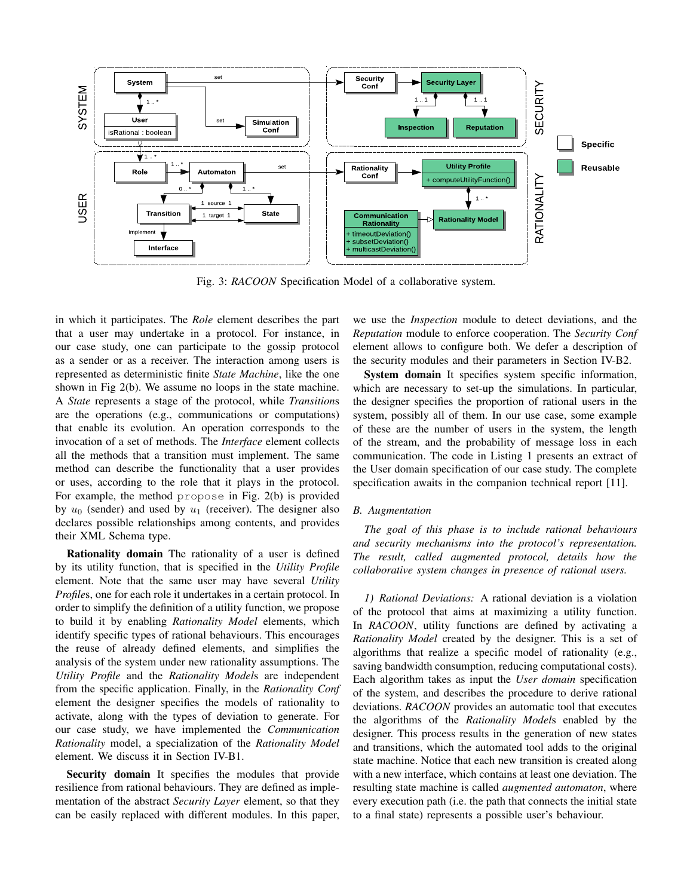

Fig. 3: *RACOON* Specification Model of a collaborative system.

in which it participates. The *Role* element describes the part that a user may undertake in a protocol. For instance, in our case study, one can participate to the gossip protocol as a sender or as a receiver. The interaction among users is represented as deterministic finite *State Machine*, like the one shown in Fig 2(b). We assume no loops in the state machine. A *State* represents a stage of the protocol, while *Transition*s are the operations (e.g., communications or computations) that enable its evolution. An operation corresponds to the invocation of a set of methods. The *Interface* element collects all the methods that a transition must implement. The same method can describe the functionality that a user provides or uses, according to the role that it plays in the protocol. For example, the method propose in Fig. 2(b) is provided by  $u_0$  (sender) and used by  $u_1$  (receiver). The designer also declares possible relationships among contents, and provides their XML Schema type.

Rationality domain The rationality of a user is defined by its utility function, that is specified in the *Utility Profile* element. Note that the same user may have several *Utility Profiles*, one for each role it undertakes in a certain protocol. In order to simplify the definition of a utility function, we propose to build it by enabling *Rationality Model* elements, which identify specific types of rational behaviours. This encourages the reuse of already defined elements, and simplifies the analysis of the system under new rationality assumptions. The *Utility Profile* and the *Rationality Model*s are independent from the specific application. Finally, in the *Rationality Conf* element the designer specifies the models of rationality to activate, along with the types of deviation to generate. For our case study, we have implemented the *Communication Rationality* model, a specialization of the *Rationality Model* element. We discuss it in Section IV-B1.

Security domain It specifies the modules that provide resilience from rational behaviours. They are defined as implementation of the abstract *Security Layer* element, so that they can be easily replaced with different modules. In this paper,

we use the *Inspection* module to detect deviations, and the *Reputation* module to enforce cooperation. The *Security Conf* element allows to configure both. We defer a description of the security modules and their parameters in Section IV-B2.

System domain It specifies system specific information, which are necessary to set-up the simulations. In particular, the designer specifies the proportion of rational users in the system, possibly all of them. In our use case, some example of these are the number of users in the system, the length of the stream, and the probability of message loss in each communication. The code in Listing 1 presents an extract of the User domain specification of our case study. The complete specification awaits in the companion technical report [11].

## *B. Augmentation*

*The goal of this phase is to include rational behaviours and security mechanisms into the protocol's representation. The result, called augmented protocol, details how the collaborative system changes in presence of rational users.*

*1) Rational Deviations:* A rational deviation is a violation of the protocol that aims at maximizing a utility function. In *RACOON*, utility functions are defined by activating a *Rationality Model* created by the designer. This is a set of algorithms that realize a specific model of rationality (e.g., saving bandwidth consumption, reducing computational costs). Each algorithm takes as input the *User domain* specification of the system, and describes the procedure to derive rational deviations. *RACOON* provides an automatic tool that executes the algorithms of the *Rationality Model*s enabled by the designer. This process results in the generation of new states and transitions, which the automated tool adds to the original state machine. Notice that each new transition is created along with a new interface, which contains at least one deviation. The resulting state machine is called *augmented automaton*, where every execution path (i.e. the path that connects the initial state to a final state) represents a possible user's behaviour.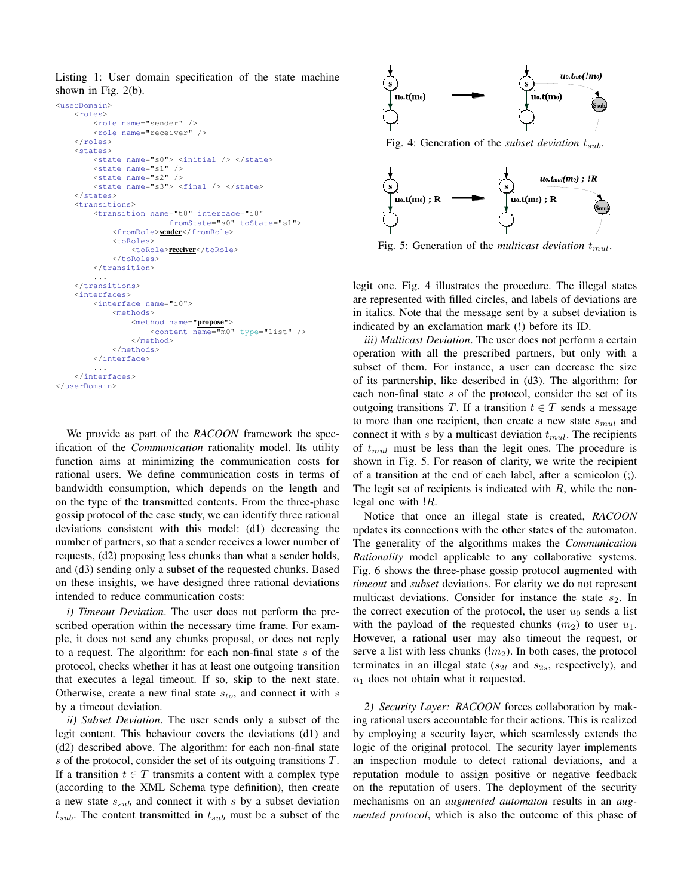Listing 1: User domain specification of the state machine shown in Fig. 2(b).

```
<userDomain>
    <roles>
        <role name="sender" />
        <role name="receiver" />
    </roles>
    <states>
        <state name="s0"> <initial /> </state>
        \text{state name} = "s1" />
        \frac{1}{2} state name="s2" />
        <state name="s3"> <final /> </state>
    </states>
    <transitions>
        <transition name="t0" interface="i0"
                         fromState="s0" toState="s1">
             <fromRole>sender</fromRole>
             <toRoles>
                 <toRole>receiver</toRole>
             </toRoles>
        </transition>
         ...
    </transitions>
    <interfaces>
        <interface name="i0">
             <methods>
                 <method name="propose">
                     <content name="m0" type="list" />
                 </method>
             </methods>
        </interface>
         ...
    </interfaces>
</userDomain>
```
We provide as part of the *RACOON* framework the specification of the *Communication* rationality model. Its utility function aims at minimizing the communication costs for rational users. We define communication costs in terms of bandwidth consumption, which depends on the length and on the type of the transmitted contents. From the three-phase gossip protocol of the case study, we can identify three rational deviations consistent with this model: (d1) decreasing the number of partners, so that a sender receives a lower number of requests, (d2) proposing less chunks than what a sender holds, and (d3) sending only a subset of the requested chunks. Based on these insights, we have designed three rational deviations intended to reduce communication costs:

*i) Timeout Deviation*. The user does not perform the prescribed operation within the necessary time frame. For example, it does not send any chunks proposal, or does not reply to a request. The algorithm: for each non-final state s of the protocol, checks whether it has at least one outgoing transition that executes a legal timeout. If so, skip to the next state. Otherwise, create a new final state  $s_{to}$ , and connect it with s by a timeout deviation.

*ii) Subset Deviation*. The user sends only a subset of the legit content. This behaviour covers the deviations (d1) and (d2) described above. The algorithm: for each non-final state s of the protocol, consider the set of its outgoing transitions T. If a transition  $t \in T$  transmits a content with a complex type (according to the XML Schema type definition), then create a new state  $s_{sub}$  and connect it with s by a subset deviation  $t_{sub}$ . The content transmitted in  $t_{sub}$  must be a subset of the



Fig. 4: Generation of the *subset deviation*  $t_{sub}$ .



Fig. 5: Generation of the *multicast deviation*  $t_{mul}$ .

legit one. Fig. 4 illustrates the procedure. The illegal states are represented with filled circles, and labels of deviations are in italics. Note that the message sent by a subset deviation is indicated by an exclamation mark (!) before its ID.

*iii) Multicast Deviation*. The user does not perform a certain operation with all the prescribed partners, but only with a subset of them. For instance, a user can decrease the size of its partnership, like described in (d3). The algorithm: for each non-final state s of the protocol, consider the set of its outgoing transitions T. If a transition  $t \in T$  sends a message to more than one recipient, then create a new state  $s_{mul}$  and connect it with s by a multicast deviation  $t_{mul}$ . The recipients of  $t_{mul}$  must be less than the legit ones. The procedure is shown in Fig. 5. For reason of clarity, we write the recipient of a transition at the end of each label, after a semicolon (;). The legit set of recipients is indicated with  $R$ , while the nonlegal one with !R.

Notice that once an illegal state is created, *RACOON* updates its connections with the other states of the automaton. The generality of the algorithms makes the *Communication Rationality* model applicable to any collaborative systems. Fig. 6 shows the three-phase gossip protocol augmented with *timeout* and *subset* deviations. For clarity we do not represent multicast deviations. Consider for instance the state  $s_2$ . In the correct execution of the protocol, the user  $u_0$  sends a list with the payload of the requested chunks  $(m_2)$  to user  $u_1$ . However, a rational user may also timeout the request, or serve a list with less chunks  $(lm_2)$ . In both cases, the protocol terminates in an illegal state ( $s_{2t}$  and  $s_{2s}$ , respectively), and  $u_1$  does not obtain what it requested.

*2) Security Layer: RACOON* forces collaboration by making rational users accountable for their actions. This is realized by employing a security layer, which seamlessly extends the logic of the original protocol. The security layer implements an inspection module to detect rational deviations, and a reputation module to assign positive or negative feedback on the reputation of users. The deployment of the security mechanisms on an *augmented automaton* results in an *augmented protocol*, which is also the outcome of this phase of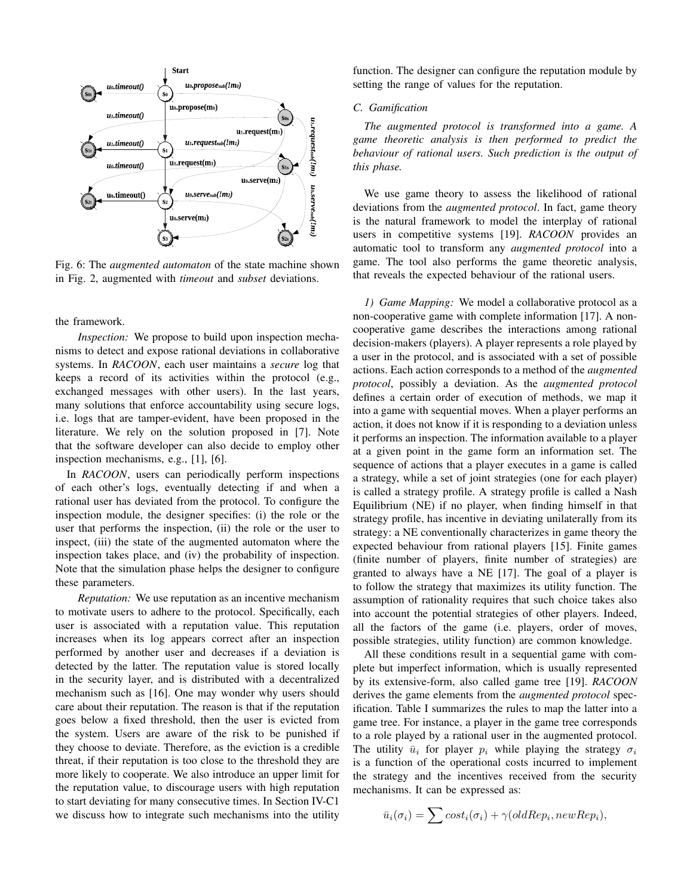

Fig. 6: The *augmented automaton* of the state machine shown in Fig. 2, augmented with *timeout* and *subset* deviations.

the framework.

*Inspection:* We propose to build upon inspection mechanisms to detect and expose rational deviations in collaborative systems. In *RACOON*, each user maintains a *secure* log that keeps a record of its activities within the protocol (e.g., exchanged messages with other users). In the last years, many solutions that enforce accountability using secure logs, i.e. logs that are tamper-evident, have been proposed in the literature. We rely on the solution proposed in [7]. Note that the software developer can also decide to employ other inspection mechanisms, e.g., [1], [6].

In *RACOON*, users can periodically perform inspections of each other's logs, eventually detecting if and when a rational user has deviated from the protocol. To configure the inspection module, the designer specifies: (i) the role or the user that performs the inspection, (ii) the role or the user to inspect, (iii) the state of the augmented automaton where the inspection takes place, and (iv) the probability of inspection. Note that the simulation phase helps the designer to configure these parameters.

*Reputation:* We use reputation as an incentive mechanism to motivate users to adhere to the protocol. Specifically, each user is associated with a reputation value. This reputation increases when its log appears correct after an inspection performed by another user and decreases if a deviation is detected by the latter. The reputation value is stored locally in the security layer, and is distributed with a decentralized mechanism such as [16]. One may wonder why users should care about their reputation. The reason is that if the reputation goes below a fixed threshold, then the user is evicted from the system. Users are aware of the risk to be punished if they choose to deviate. Therefore, as the eviction is a credible threat, if their reputation is too close to the threshold they are more likely to cooperate. We also introduce an upper limit for the reputation value, to discourage users with high reputation to start deviating for many consecutive times. In Section IV-C1 we discuss how to integrate such mechanisms into the utility

function. The designer can configure the reputation module by setting the range of values for the reputation.

#### *C. Gamification*

*The augmented protocol is transformed into a game. A game theoretic analysis is then performed to predict the behaviour of rational users. Such prediction is the output of this phase.*

We use game theory to assess the likelihood of rational deviations from the *augmented protocol*. In fact, game theory is the natural framework to model the interplay of rational users in competitive systems [19]. *RACOON* provides an automatic tool to transform any *augmented protocol* into a game. The tool also performs the game theoretic analysis, that reveals the expected behaviour of the rational users.

*1) Game Mapping:* We model a collaborative protocol as a non-cooperative game with complete information [17]. A noncooperative game describes the interactions among rational decision-makers (players). A player represents a role played by a user in the protocol, and is associated with a set of possible actions. Each action corresponds to a method of the *augmented protocol*, possibly a deviation. As the *augmented protocol* defines a certain order of execution of methods, we map it into a game with sequential moves. When a player performs an action, it does not know if it is responding to a deviation unless it performs an inspection. The information available to a player at a given point in the game form an information set. The sequence of actions that a player executes in a game is called a strategy, while a set of joint strategies (one for each player) is called a strategy profile. A strategy profile is called a Nash Equilibrium (NE) if no player, when finding himself in that strategy profile, has incentive in deviating unilaterally from its strategy: a NE conventionally characterizes in game theory the expected behaviour from rational players [15]. Finite games (finite number of players, finite number of strategies) are granted to always have a NE [17]. The goal of a player is to follow the strategy that maximizes its utility function. The assumption of rationality requires that such choice takes also into account the potential strategies of other players. Indeed, all the factors of the game (i.e. players, order of moves, possible strategies, utility function) are common knowledge.

All these conditions result in a sequential game with complete but imperfect information, which is usually represented by its extensive-form, also called game tree [19]. *RACOON* derives the game elements from the *augmented protocol* specification. Table I summarizes the rules to map the latter into a game tree. For instance, a player in the game tree corresponds to a role played by a rational user in the augmented protocol. The utility  $\bar{u}_i$  for player  $p_i$  while playing the strategy  $\sigma_i$ is a function of the operational costs incurred to implement the strategy and the incentives received from the security mechanisms. It can be expressed as:

$$
\bar{u}_i(\sigma_i) = \sum cost_i(\sigma_i) + \gamma(oldRep_i, newRep_i),
$$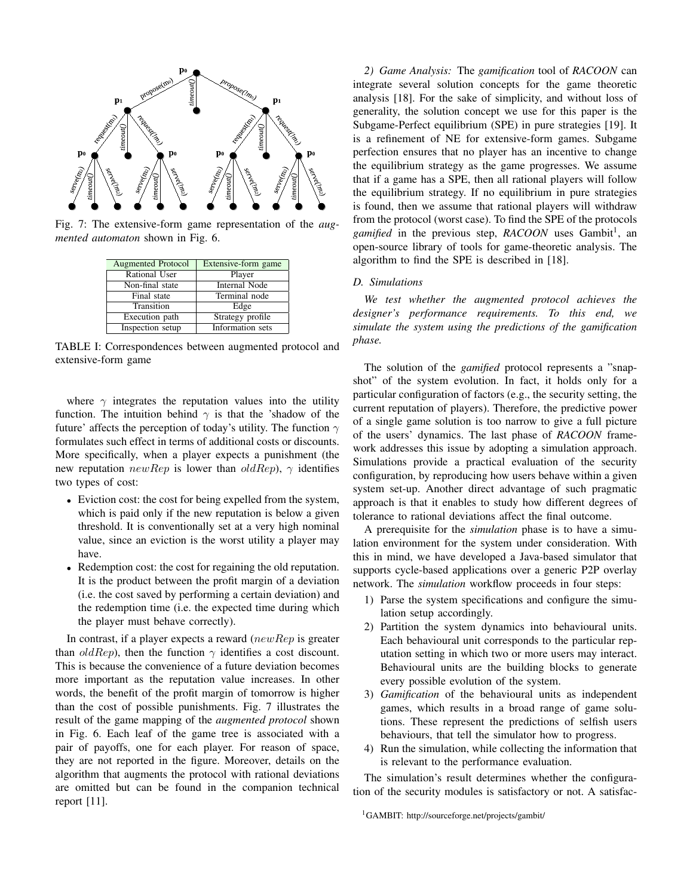

Fig. 7: The extensive-form game representation of the *augmented automaton* shown in Fig. 6.

| Augmented Protocol | Extensive-form game  |
|--------------------|----------------------|
| Rational User      | Player               |
| Non-final state    | <b>Internal Node</b> |
| Final state        | Terminal node        |
| Transition         | Edge                 |
| Execution path     | Strategy profile     |
| Inspection setup   | Information sets     |

TABLE I: Correspondences between augmented protocol and extensive-form game

where  $\gamma$  integrates the reputation values into the utility function. The intuition behind  $\gamma$  is that the 'shadow of the future' affects the perception of today's utility. The function  $\gamma$ formulates such effect in terms of additional costs or discounts. More specifically, when a player expects a punishment (the new reputation  $newRep$  is lower than  $oldRep$ ,  $\gamma$  identifies two types of cost:

- Eviction cost: the cost for being expelled from the system, which is paid only if the new reputation is below a given threshold. It is conventionally set at a very high nominal value, since an eviction is the worst utility a player may have.
- Redemption cost: the cost for regaining the old reputation. It is the product between the profit margin of a deviation (i.e. the cost saved by performing a certain deviation) and the redemption time (i.e. the expected time during which the player must behave correctly).

In contrast, if a player expects a reward  $(newRep$  is greater than *oldRep*), then the function  $\gamma$  identifies a cost discount. This is because the convenience of a future deviation becomes more important as the reputation value increases. In other words, the benefit of the profit margin of tomorrow is higher than the cost of possible punishments. Fig. 7 illustrates the result of the game mapping of the *augmented protocol* shown in Fig. 6. Each leaf of the game tree is associated with a pair of payoffs, one for each player. For reason of space, they are not reported in the figure. Moreover, details on the algorithm that augments the protocol with rational deviations are omitted but can be found in the companion technical report [11].

*2) Game Analysis:* The *gamification* tool of *RACOON* can integrate several solution concepts for the game theoretic analysis [18]. For the sake of simplicity, and without loss of generality, the solution concept we use for this paper is the Subgame-Perfect equilibrium (SPE) in pure strategies [19]. It is a refinement of NE for extensive-form games. Subgame perfection ensures that no player has an incentive to change the equilibrium strategy as the game progresses. We assume that if a game has a SPE, then all rational players will follow the equilibrium strategy. If no equilibrium in pure strategies is found, then we assume that rational players will withdraw from the protocol (worst case). To find the SPE of the protocols gamified in the previous step, RACOON uses Gambit<sup>1</sup>, an open-source library of tools for game-theoretic analysis. The algorithm to find the SPE is described in [18].

## *D. Simulations*

*We test whether the augmented protocol achieves the designer's performance requirements. To this end, we simulate the system using the predictions of the gamification phase.*

The solution of the *gamified* protocol represents a "snapshot" of the system evolution. In fact, it holds only for a particular configuration of factors (e.g., the security setting, the current reputation of players). Therefore, the predictive power of a single game solution is too narrow to give a full picture of the users' dynamics. The last phase of *RACOON* framework addresses this issue by adopting a simulation approach. Simulations provide a practical evaluation of the security configuration, by reproducing how users behave within a given system set-up. Another direct advantage of such pragmatic approach is that it enables to study how different degrees of tolerance to rational deviations affect the final outcome.

A prerequisite for the *simulation* phase is to have a simulation environment for the system under consideration. With this in mind, we have developed a Java-based simulator that supports cycle-based applications over a generic P2P overlay network. The *simulation* workflow proceeds in four steps:

- 1) Parse the system specifications and configure the simulation setup accordingly.
- 2) Partition the system dynamics into behavioural units. Each behavioural unit corresponds to the particular reputation setting in which two or more users may interact. Behavioural units are the building blocks to generate every possible evolution of the system.
- 3) *Gamification* of the behavioural units as independent games, which results in a broad range of game solutions. These represent the predictions of selfish users behaviours, that tell the simulator how to progress.
- 4) Run the simulation, while collecting the information that is relevant to the performance evaluation.

The simulation's result determines whether the configuration of the security modules is satisfactory or not. A satisfac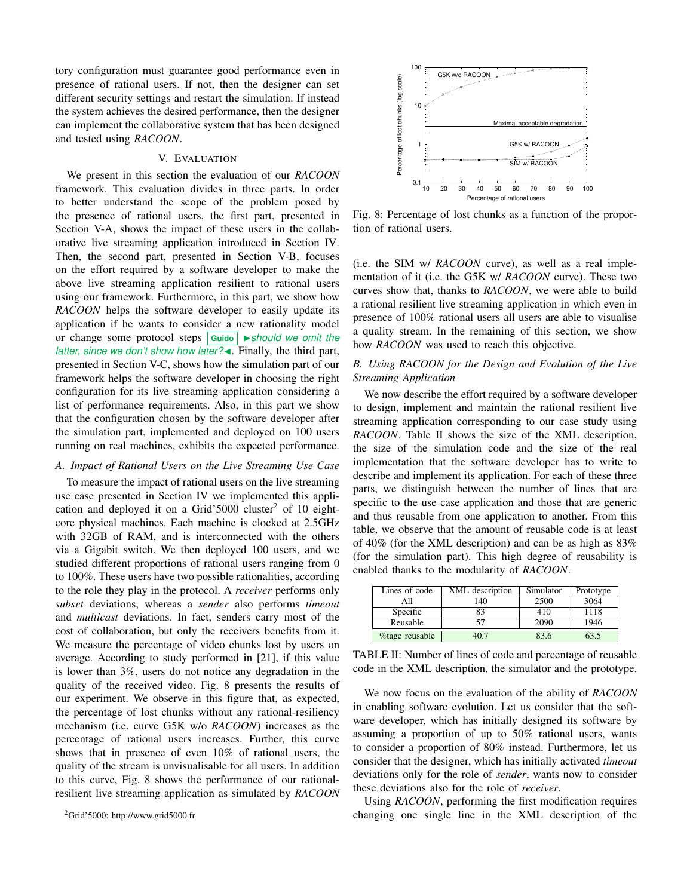tory configuration must guarantee good performance even in presence of rational users. If not, then the designer can set different security settings and restart the simulation. If instead the system achieves the desired performance, then the designer can implement the collaborative system that has been designed and tested using *RACOON*.

## V. EVALUATION

We present in this section the evaluation of our *RACOON* framework. This evaluation divides in three parts. In order to better understand the scope of the problem posed by the presence of rational users, the first part, presented in Section V-A, shows the impact of these users in the collaborative live streaming application introduced in Section IV. Then, the second part, presented in Section V-B, focuses on the effort required by a software developer to make the above live streaming application resilient to rational users using our framework. Furthermore, in this part, we show how *RACOON* helps the software developer to easily update its application if he wants to consider a new rationality model or change some protocol steps **Guido** I*should we omit the latter, since we don't show how later?* **4**. Finally, the third part, presented in Section V-C, shows how the simulation part of our framework helps the software developer in choosing the right configuration for its live streaming application considering a list of performance requirements. Also, in this part we show that the configuration chosen by the software developer after the simulation part, implemented and deployed on 100 users running on real machines, exhibits the expected performance.

## *A. Impact of Rational Users on the Live Streaming Use Case*

To measure the impact of rational users on the live streaming use case presented in Section IV we implemented this application and deployed it on a Grid'5000 cluster<sup>2</sup> of 10 eightcore physical machines. Each machine is clocked at 2.5GHz with 32GB of RAM, and is interconnected with the others via a Gigabit switch. We then deployed 100 users, and we studied different proportions of rational users ranging from 0 to 100%. These users have two possible rationalities, according to the role they play in the protocol. A *receiver* performs only *subset* deviations, whereas a *sender* also performs *timeout* and *multicast* deviations. In fact, senders carry most of the cost of collaboration, but only the receivers benefits from it. We measure the percentage of video chunks lost by users on average. According to study performed in [21], if this value is lower than 3%, users do not notice any degradation in the quality of the received video. Fig. 8 presents the results of our experiment. We observe in this figure that, as expected, the percentage of lost chunks without any rational-resiliency mechanism (i.e. curve G5K w/o *RACOON*) increases as the percentage of rational users increases. Further, this curve shows that in presence of even 10% of rational users, the quality of the stream is unvisualisable for all users. In addition to this curve, Fig. 8 shows the performance of our rationalresilient live streaming application as simulated by *RACOON*



Fig. 8: Percentage of lost chunks as a function of the proportion of rational users.

(i.e. the SIM w/ *RACOON* curve), as well as a real implementation of it (i.e. the G5K w/ *RACOON* curve). These two curves show that, thanks to *RACOON*, we were able to build a rational resilient live streaming application in which even in presence of 100% rational users all users are able to visualise a quality stream. In the remaining of this section, we show how *RACOON* was used to reach this objective.

## *B. Using RACOON for the Design and Evolution of the Live Streaming Application*

We now describe the effort required by a software developer to design, implement and maintain the rational resilient live streaming application corresponding to our case study using *RACOON*. Table II shows the size of the XML description, the size of the simulation code and the size of the real implementation that the software developer has to write to describe and implement its application. For each of these three parts, we distinguish between the number of lines that are specific to the use case application and those that are generic and thus reusable from one application to another. From this table, we observe that the amount of reusable code is at least of 40% (for the XML description) and can be as high as 83% (for the simulation part). This high degree of reusability is enabled thanks to the modularity of *RACOON*.

| Lines of code  | XML description | Simulator | Prototype |
|----------------|-----------------|-----------|-----------|
| Αll            | 140             | 2500      | 3064      |
| Specific       | 83              | 410       | 1118      |
| Reusable       |                 | 2090      | 1946      |
| %tage reusable | 40 7            | 83.6      | 63.5      |

TABLE II: Number of lines of code and percentage of reusable code in the XML description, the simulator and the prototype.

We now focus on the evaluation of the ability of *RACOON* in enabling software evolution. Let us consider that the software developer, which has initially designed its software by assuming a proportion of up to 50% rational users, wants to consider a proportion of 80% instead. Furthermore, let us consider that the designer, which has initially activated *timeout* deviations only for the role of *sender*, wants now to consider these deviations also for the role of *receiver*.

Using *RACOON*, performing the first modification requires changing one single line in the XML description of the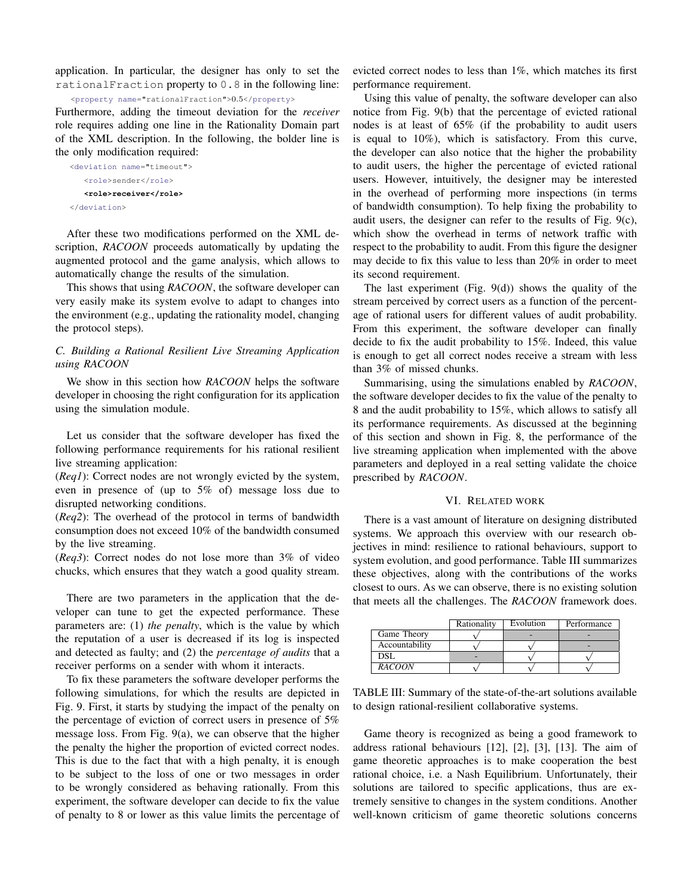application. In particular, the designer has only to set the rationalFraction property to 0.8 in the following line:

<property name="rationalFraction">0.5</property>

Furthermore, adding the timeout deviation for the *receiver* role requires adding one line in the Rationality Domain part of the XML description. In the following, the bolder line is the only modification required:

```
<deviation name="timeout">
   <role>sender</role>
   <role>receiver</role>
</deviation>
```
After these two modifications performed on the XML description, *RACOON* proceeds automatically by updating the augmented protocol and the game analysis, which allows to automatically change the results of the simulation.

This shows that using *RACOON*, the software developer can very easily make its system evolve to adapt to changes into the environment (e.g., updating the rationality model, changing the protocol steps).

# *C. Building a Rational Resilient Live Streaming Application using RACOON*

We show in this section how *RACOON* helps the software developer in choosing the right configuration for its application using the simulation module.

Let us consider that the software developer has fixed the following performance requirements for his rational resilient live streaming application:

(*Req1*): Correct nodes are not wrongly evicted by the system, even in presence of (up to 5% of) message loss due to disrupted networking conditions.

(*Req2*): The overhead of the protocol in terms of bandwidth consumption does not exceed 10% of the bandwidth consumed by the live streaming.

(*Req3*): Correct nodes do not lose more than 3% of video chucks, which ensures that they watch a good quality stream.

There are two parameters in the application that the developer can tune to get the expected performance. These parameters are: (1) *the penalty*, which is the value by which the reputation of a user is decreased if its log is inspected and detected as faulty; and (2) the *percentage of audits* that a receiver performs on a sender with whom it interacts.

To fix these parameters the software developer performs the following simulations, for which the results are depicted in Fig. 9. First, it starts by studying the impact of the penalty on the percentage of eviction of correct users in presence of 5% message loss. From Fig. 9(a), we can observe that the higher the penalty the higher the proportion of evicted correct nodes. This is due to the fact that with a high penalty, it is enough to be subject to the loss of one or two messages in order to be wrongly considered as behaving rationally. From this experiment, the software developer can decide to fix the value of penalty to 8 or lower as this value limits the percentage of evicted correct nodes to less than 1%, which matches its first performance requirement.

Using this value of penalty, the software developer can also notice from Fig. 9(b) that the percentage of evicted rational nodes is at least of 65% (if the probability to audit users is equal to 10%), which is satisfactory. From this curve, the developer can also notice that the higher the probability to audit users, the higher the percentage of evicted rational users. However, intuitively, the designer may be interested in the overhead of performing more inspections (in terms of bandwidth consumption). To help fixing the probability to audit users, the designer can refer to the results of Fig. 9(c), which show the overhead in terms of network traffic with respect to the probability to audit. From this figure the designer may decide to fix this value to less than 20% in order to meet its second requirement.

The last experiment (Fig. 9(d)) shows the quality of the stream perceived by correct users as a function of the percentage of rational users for different values of audit probability. From this experiment, the software developer can finally decide to fix the audit probability to 15%. Indeed, this value is enough to get all correct nodes receive a stream with less than 3% of missed chunks.

Summarising, using the simulations enabled by *RACOON*, the software developer decides to fix the value of the penalty to 8 and the audit probability to 15%, which allows to satisfy all its performance requirements. As discussed at the beginning of this section and shown in Fig. 8, the performance of the live streaming application when implemented with the above parameters and deployed in a real setting validate the choice prescribed by *RACOON*.

#### VI. RELATED WORK

There is a vast amount of literature on designing distributed systems. We approach this overview with our research objectives in mind: resilience to rational behaviours, support to system evolution, and good performance. Table III summarizes these objectives, along with the contributions of the works closest to ours. As we can observe, there is no existing solution that meets all the challenges. The *RACOON* framework does.

|                | Rationality | Evolution | Performance |
|----------------|-------------|-----------|-------------|
| Game Theory    |             |           |             |
| Accountability |             |           |             |
| DSL            |             |           |             |
| <b>RACOON</b>  |             |           |             |

TABLE III: Summary of the state-of-the-art solutions available to design rational-resilient collaborative systems.

Game theory is recognized as being a good framework to address rational behaviours [12], [2], [3], [13]. The aim of game theoretic approaches is to make cooperation the best rational choice, i.e. a Nash Equilibrium. Unfortunately, their solutions are tailored to specific applications, thus are extremely sensitive to changes in the system conditions. Another well-known criticism of game theoretic solutions concerns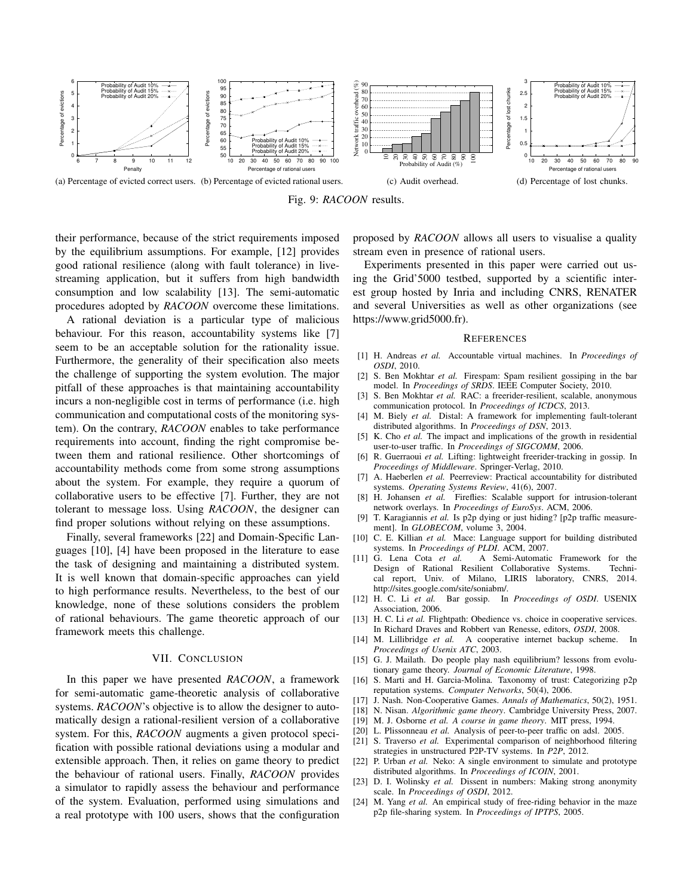

Fig. 9: *RACOON* results.

their performance, because of the strict requirements imposed by the equilibrium assumptions. For example, [12] provides good rational resilience (along with fault tolerance) in livestreaming application, but it suffers from high bandwidth consumption and low scalability [13]. The semi-automatic procedures adopted by *RACOON* overcome these limitations.

A rational deviation is a particular type of malicious behaviour. For this reason, accountability systems like [7] seem to be an acceptable solution for the rationality issue. Furthermore, the generality of their specification also meets the challenge of supporting the system evolution. The major pitfall of these approaches is that maintaining accountability incurs a non-negligible cost in terms of performance (i.e. high communication and computational costs of the monitoring system). On the contrary, *RACOON* enables to take performance requirements into account, finding the right compromise between them and rational resilience. Other shortcomings of accountability methods come from some strong assumptions about the system. For example, they require a quorum of collaborative users to be effective [7]. Further, they are not tolerant to message loss. Using *RACOON*, the designer can find proper solutions without relying on these assumptions.

Finally, several frameworks [22] and Domain-Specific Languages [10], [4] have been proposed in the literature to ease the task of designing and maintaining a distributed system. It is well known that domain-specific approaches can yield to high performance results. Nevertheless, to the best of our knowledge, none of these solutions considers the problem of rational behaviours. The game theoretic approach of our framework meets this challenge.

#### VII. CONCLUSION

In this paper we have presented *RACOON*, a framework for semi-automatic game-theoretic analysis of collaborative systems. *RACOON*'s objective is to allow the designer to automatically design a rational-resilient version of a collaborative system. For this, *RACOON* augments a given protocol specification with possible rational deviations using a modular and extensible approach. Then, it relies on game theory to predict the behaviour of rational users. Finally, *RACOON* provides a simulator to rapidly assess the behaviour and performance of the system. Evaluation, performed using simulations and a real prototype with 100 users, shows that the configuration

proposed by *RACOON* allows all users to visualise a quality stream even in presence of rational users.

Experiments presented in this paper were carried out using the Grid'5000 testbed, supported by a scientific interest group hosted by Inria and including CNRS, RENATER and several Universities as well as other organizations (see https://www.grid5000.fr).

#### **REFERENCES**

- [1] H. Andreas *et al.* Accountable virtual machines. In *Proceedings of OSDI*, 2010.
- [2] S. Ben Mokhtar *et al.* Firespam: Spam resilient gossiping in the bar model. In *Proceedings of SRDS*. IEEE Computer Society, 2010.
- [3] S. Ben Mokhtar *et al.* RAC: a freerider-resilient, scalable, anonymous communication protocol. In *Proceedings of ICDCS*, 2013.
- [4] M. Biely *et al.* Distal: A framework for implementing fault-tolerant distributed algorithms. In *Proceedings of DSN*, 2013.
- [5] K. Cho *et al.* The impact and implications of the growth in residential user-to-user traffic. In *Proceedings of SIGCOMM*, 2006.
- [6] R. Guerraoui *et al.* Lifting: lightweight freerider-tracking in gossip. In *Proceedings of Middleware*. Springer-Verlag, 2010.
- [7] A. Haeberlen *et al.* Peerreview: Practical accountability for distributed systems. *Operating Systems Review*, 41(6), 2007.
- [8] H. Johansen *et al.* Fireflies: Scalable support for intrusion-tolerant network overlays. In *Proceedings of EuroSys*. ACM, 2006.
- [9] T. Karagiannis *et al.* Is p2p dying or just hiding? [p2p traffic measurement]. In *GLOBECOM*, volume 3, 2004.
- [10] C. E. Killian *et al.* Mace: Language support for building distributed systems. In *Proceedings of PLDI*. ACM, 2007.<br>[11] G. Lena Cota et al. A Semi-Automati
- A Semi-Automatic Framework for the Design of Rational Resilient Collaborative Systems. Technical report, Univ. of Milano, LIRIS laboratory, CNRS, http://sites.google.com/site/soniabm/.
- [12] H. C. Li *et al.* Bar gossip. In *Proceedings of OSDI*. USENIX Association, 2006.
- [13] H. C. Li et al. Flightpath: Obedience vs. choice in cooperative services. In Richard Draves and Robbert van Renesse, editors, *OSDI*, 2008.
- [14] M. Lillibridge *et al.* A cooperative internet backup scheme. In *Proceedings of Usenix ATC*, 2003.
- [15] G. J. Mailath. Do people play nash equilibrium? lessons from evolutionary game theory. *Journal of Economic Literature*, 1998.
- [16] S. Marti and H. Garcia-Molina. Taxonomy of trust: Categorizing p2p reputation systems. *Computer Networks*, 50(4), 2006.
- [17] J. Nash. Non-Cooperative Games. *Annals of Mathematics*, 50(2), 1951.
- [18] N. Nisan. *Algorithmic game theory*. Cambridge University Press, 2007.
- [19] M. J. Osborne *et al. A course in game theory*. MIT press, 1994.
- [20] L. Plissonneau *et al.* Analysis of peer-to-peer traffic on adsl. 2005. [21] S. Traverso *et al.* Experimental comparison of neighborhood filter
- S. Traverso *et al.* Experimental comparison of neighborhood filtering strategies in unstructured P2P-TV systems. In *P2P*, 2012.
- [22] P. Urban *et al.* Neko: A single environment to simulate and prototype distributed algorithms. In *Proceedings of ICOIN*, 2001.
- [23] D. I. Wolinsky et al. Dissent in numbers: Making strong anonymity scale. In *Proceedings of OSDI*, 2012.
- [24] M. Yang *et al.* An empirical study of free-riding behavior in the maze p2p file-sharing system. In *Proceedings of IPTPS*, 2005.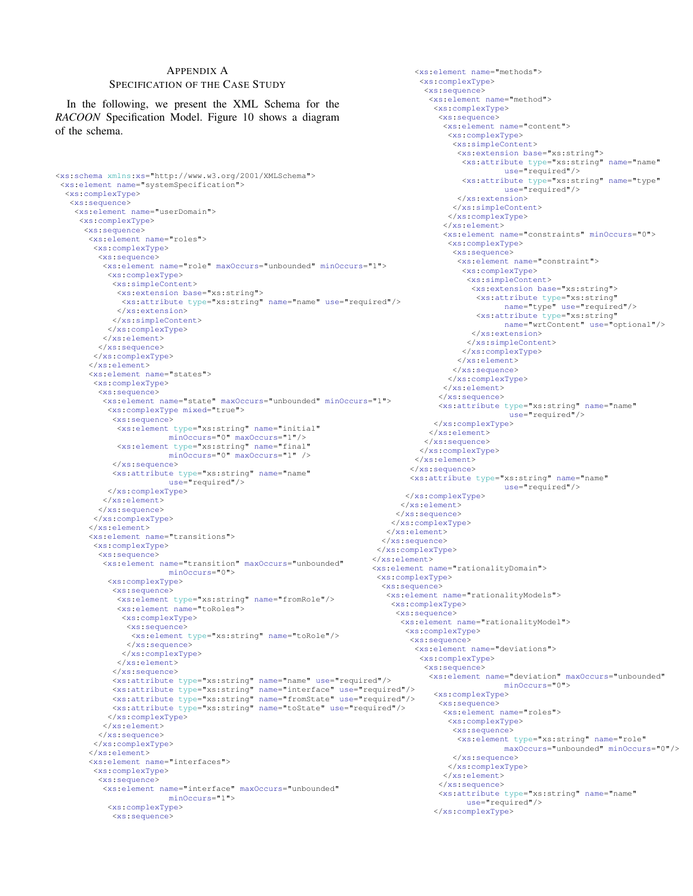## APPENDIX A

## SPECIFICATION OF THE CASE STUDY

In the following, we present the XML Schema for the *RACOON* Specification Model. Figure 10 shows a diagram of the schema.

```
<xs:schema xmlns:xs="http://www.w3.org/2001/XMLSchema">
 <xs:element name="systemSpecification">
  <xs:complexType>
   <xs:sequence>
    <xs:element name="userDomain">
     <xs:complexType>
      <xs:sequence>
       <xs:element name="roles">
        <xs:complexType>
         <xs:sequence>
          <xs:element name="role" maxOccurs="unbounded" minOccurs="1">
           <xs:complexType>
            <xs:simpleContent>
             <xs:extension base="xs:string">
              <xs:attribute type="xs:string" name="name" use="required"/>
             </xs:extension>
            </xs:simpleContent>
           </xs:complexType>
          </xs:element>
         </xs:sequence>
        </xs:complexType>
       </xs:element>
       <xs:element name="states">
        <xs:complexType>
         <xs:sequence>
          <xs:element name="state" maxOccurs="unbounded" minOccurs="1">
           <xs:complexType mixed="true">
            <xs:sequence>
             <xs:element type="xs:string" name="initial"
                        minOccurs="0" maxOccurs="1"/>
             <xs:element type="xs:string" name="final"
                        minOccurs="0" maxOccurs="1" />
            </xs:sequence>
             <xs:attribute type="xs:string" name="name"
use="required"/>
           </xs:complexType>
          </xs:element>
         </xs:sequence>
        </xs:complexType>
       </xs:element>
       <xs:element name="transitions">
        <xs:complexType>
         <xs:sequence>
          <xs:element name="transition" maxOccurs="unbounded"
                        minOccurs="0">
           <xs:complexType>
            <xs:sequence>
             <xs:element type="xs:string" name="fromRole"/>
             <xs:element name="toRoles">
              <xs:complexType>
               <xs:sequence>
                 <xs:element type="xs:string" name="toRole"/>
               </xs:sequence>
              </xs:complexType>
             </xs:element>
            </xs:sequence>
            <xs:attribute type="xs:string" name="name" use="required"/>
            <xs:attribute type="xs:string" name="interface" use="required"/>
             <xs:attribute type="xs:string" name="fromState" use="required"/>
<xs:attribute type="xs:string" name="toState" use="required"/>
           </xs:complexType>
          </xs:element>
         </xs:sequence>
        </xs:complexType>
       </xs:element>
       <xs:element name="interfaces">
        <xs:complexType>
         <xs:sequence>
          <xs:element name="interface" maxOccurs="unbounded"
                        minOccurs="1">
           <xs:complexType>
            <xs:sequence>
                                                                          </xs:element>
                                                                         </xs:sequence>
                                                                        </xs:complexType>
                                                                       </xs:element>
                                                                        <xs:complexType>
                                                                         <xs:sequence>
```
<xs:element name="methods"> <xs:complexType> <xs:sequence> <xs:element name="method"> <xs:complexType> <xs:sequence> <xs:element name="content"> <xs:complexType> <xs:simpleContent> <xs:extension base="xs:string"> <xs:attribute type="xs:string" name="name" use="required"/> <xs:attribute type="xs:string" name="type" use="required"/> </xs:extension> </xs:simpleContent> </xs:complexType> </xs:element> <xs:element name="constraints" minOccurs="0"> <xs:complexType> <xs:sequence> <xs:element name="constraint"> <xs:complexType> <xs:simpleContent> <xs:extension base="xs:string"> <xs:attribute type="xs:string" name="type" use="required"/> <xs:attribute type="xs:string" name="wrtContent" use="optional"/> </xs:extension> </xs:simpleContent> </xs:complexType> </xs:element> </xs:sequence> </xs:complexType> </xs:element> </xs:sequence> <xs:attribute type="xs:string" name="name" use="required"/> </xs:complexType> </xs:element> </xs:sequence> </xs:complexType> </xs:element> </xs:sequence> <xs:attribute type="xs:string" name="name" use="required"/> </xs:complexType> </xs:element> </xs:sequence> </xs:complexType> <xs:element name="rationalityDomain"> <xs:element name="rationalityModels"> <xs:complexType> <xs:sequence> <xs:element name="rationalityModel"> <xs:complexType> <xs:sequence> <xs:element name="deviations"> <xs:complexType> <xs:sequence> <xs:element name="deviation" maxOccurs="unbounded" minOccurs="0"> <xs:complexType> <xs:sequence> <xs:element name="roles"> <xs:complexType> <xs:sequence> <xs:element type="xs:string" name="role" maxOccurs="unbounded" minOccurs="0"/> </xs:sequence> </xs:complexType> </xs:element> </xs:sequence> <xs:attribute type="xs:string" name="name" use="required"/> </xs:complexType>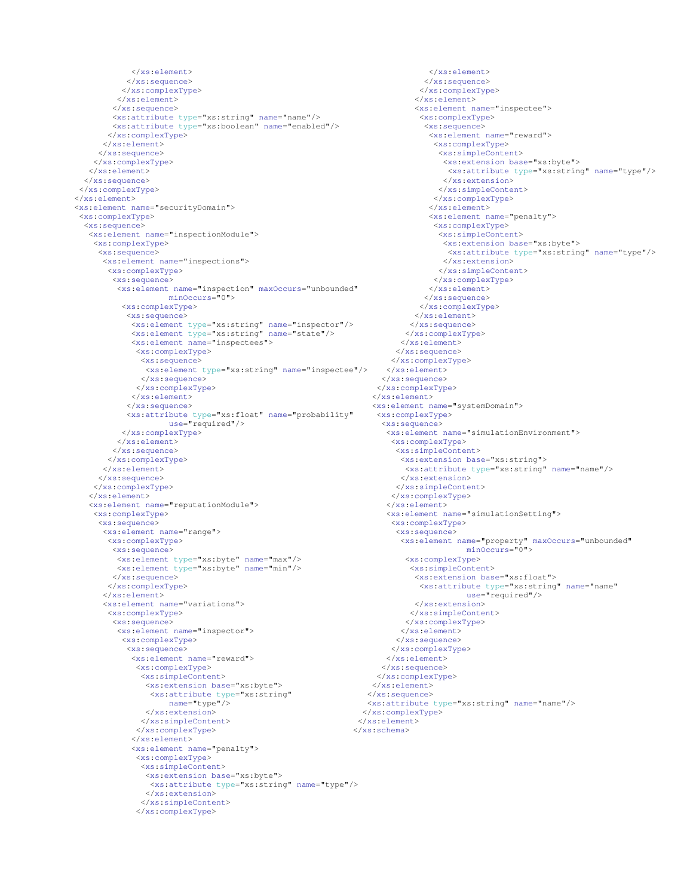```
</xs:element>
           </xs:sequence>
          </xs:complexType>
         </xs:element>
        </xs:sequence>
        <xs:attribute type="xs:string" name="name"/>
       <xs:attribute type="xs:boolean" name="enabled"/>
</xs:complexType>
      </xs:element>
     </xs:sequence>
    </xs:complexType>
   </xs:element>
  </xs:sequence>
</xs:complexType>
</xs:element>
<xs:element name="securityDomain">
<xs:complexType>
  <xs:sequence>
   <xs:element name="inspectionModule">
    <xs:complexType>
     <xs:sequence>
      <xs:element name="inspections">
       <xs:complexType>
        <xs:sequence>
         <xs:element name="inspection" maxOccurs="unbounded"
                    minOccurs="0">
          <xs:complexType>
           <xs:sequence>
             <xs:element type="xs:string" name="inspector"/>
<xs:element type="xs:string" name="state"/>
            <xs:element name="inspectees">
              <xs:complexType>
               <xs:sequence>
                <xs:element type="xs:string" name="inspectee"/>
              </xs:sequence>
              </xs:complexType>
            </xs:element>
           </xs:sequence>
           <xs:attribute type="xs:float" name="probability"
                     use="required"/>
          </xs:complexType>
         </xs:element>
        </xs:sequence>
       </xs:complexType>
      </xs:element>
     </xs:sequence>
    </xs:complexType>
   </xs:element>
   <xs:element name="reputationModule">
    <xs:complexType>
     <xs:sequence>
      <xs:element name="range">
       <xs:complexType>
        <xs:sequence>
         <xs:element type="xs:byte" name="max"/>
         <xs:element type="xs:byte" name="min"/>
        </xs:sequence>
       </xs:complexType>
      </xs:element>
      <xs:element name="variations">
       <xs:complexType>
        <xs:sequence>
         <xs:element name="inspector">
          <xs:complexType>
           <xs:sequence>
            <xs:element name="reward">
             <xs:complexType>
              <xs:simpleContent>
                <xs:extension base="xs:byte">
                 <xs:attribute type="xs:string"
name="type"/>
               </xs:extension>
               </xs:simpleContent>
              </xs:complexType>
            \langle/xs:element>
            <xs:element name="penalty">
              <xs:complexType>
               <xs:simpleContent>
                <xs:extension base="xs:byte">
                 <xs:attribute type="xs:string" name="type"/>
                </xs:extension>
              </xs:simpleContent>
              </xs:complexType>
                                                                </xs:element>
                                                               </xs:schema>
```
</xs:element> </xs:sequence> </xs:complexType> </xs:element> <xs:element name="inspectee"> <xs:complexType> <xs:sequence> <xs:element name="reward"> <xs:complexType> <xs:simpleContent> <xs:extension base="xs:byte"> <xs:attribute type="xs:string" name="type"/> </xs:extension> </xs:simpleContent> </xs:complexType> </xs:element> <xs:element name="penalty"> <xs:complexType> <xs:simpleContent> <xs:extension base="xs:byte"> <xs:attribute type="xs:string" name="type"/> </xs:extension> </xs:simpleContent> </xs:complexType> </xs:element> </xs:sequence> </xs:complexType> </xs:element> </xs:sequence> </xs:complexType> </xs:element> </xs:sequence> </xs:complexType> </xs:element> </xs:sequence> </xs:complexType> </xs:element> <xs:element name="systemDomain"> <xs:complexType> <xs:sequence> <xs:element name="simulationEnvironment"> <xs:complexType> <xs:simpleContent> <xs:extension base="xs:string"> <xs:attribute type="xs:string" name="name"/> </xs:extension> </xs:simpleContent> </xs:complexType> </xs:element> <xs:element name="simulationSetting"> <xs:complexType> <xs:sequence> <xs:element name="property" maxOccurs="unbounded" minOccurs="0"> <xs:complexType> <xs:simpleContent> <xs:extension base="xs:float"> <xs:attribute type="xs:string" name="name" use="required"/> </xs:extension> </xs:simpleContent> </xs:complexType> </xs:element> </xs:sequence> </xs:complexType> </xs:element> </xs:sequence> </xs:complexType> </xs:element> </xs:sequence> <xs:attribute type="xs:string" name="name"/> </xs:complexType>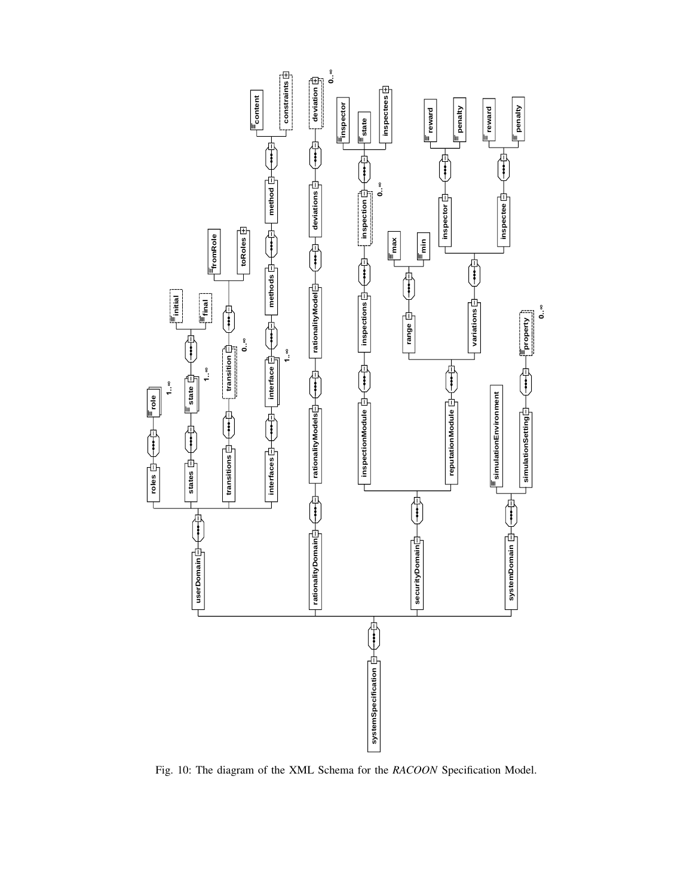

Fig. 10: The diagram of the XML Schema for the *RACOON* Specification Model.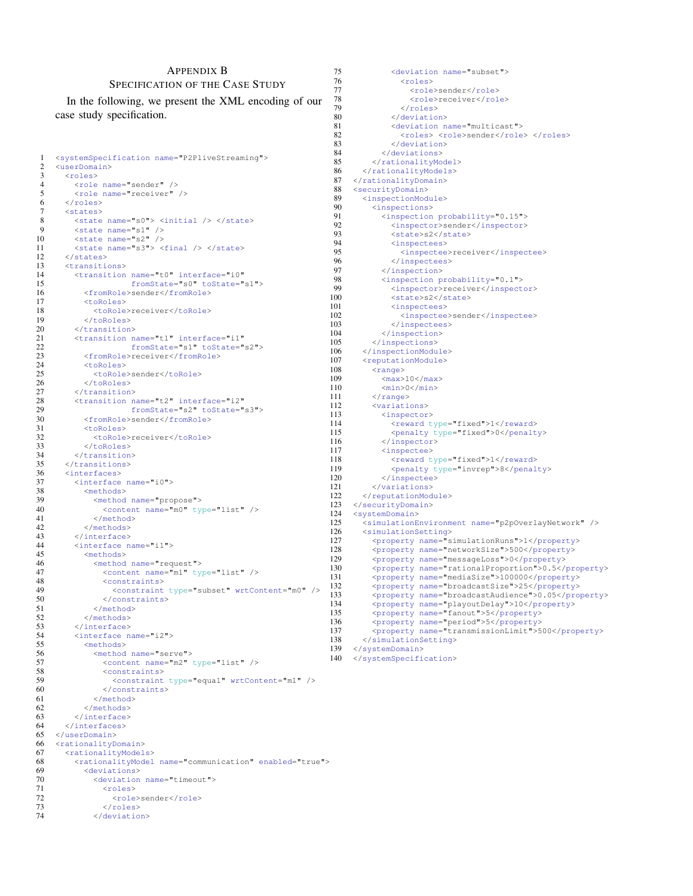#### APPENDIX B SPECIFICATION OF THE CASE STUDY

In the following, we present the XML encoding of our case study specification.

```
1 <systemSpecification name="P2PliveStreaming">
 2 <userDomain><br>3 <roles>
 3 <roles><br>4 <role
 4 \langle \text{role name} = "sender" / \rangle<br>5 \langle \text{role name} = "receiver"5 \langlerole name="receiver" /> 6 \langle/roles>
 6 </roles><br>7 <states>
           <states>
 8 \langle < state name="s0"> \langle initial \langle > \langle \rangle \langle \rangle \langle \rangle \langle \rangle \langle \rangle \langle \rangle \langle \rangle \langle \rangle \langle \rangle \langle \rangle \langle \rangle \langle \rangle \langle \rangle \langle \rangle \langle \rangle \langle \rangle \langle \rangle \langle 
9 \leftarrow \leftarrow \times \leftarrow \times \leftarrow \leftarrow \leftarrow \leftarrow \leftarrow \leftarrow \leftarrow \leftarrow \leftarrow \leftarrow \leftarrow \leftarrow \leftarrow \leftarrow \leftarrow \leftarrow \leftarrow \leftarrow \leftarrow \leftarrow \leftarrow \leftarrow \leftarrow \leftarrow \leftarrow \leftarrow \leftarrow \leftarrow \leftarrow \leftarrow \leftarrow \leftarrow10 \leq \leq \leq \leq \leq \leq \leq \leq \leq \leq \leq \leq \leq \leq \leq \leq \leq \leq \leq \leq \leq \leq \leq \leq \leq \leq \leq \leq \leq \leq \leq \leq \leq \leq \leq \leq \11 \checkmark <state name="s3"> \checkmark -final \checkmark > \checkmark state><br>12 \checkmark states>
12 </states><br>13 <transiti
13 <transitions><br>14 <transition
14 <transition name="t0" interface="i0"<br>15 fromState="s0" toState=";
15 fromState="s0" toState="s1"><br>16 <fromRole>sender</fromRole>
16 <fromRole>sender</fromRole><br>17 <toRoles>
17 <toRoles><br>18 <toRole
18 <toRole>receiver</toRole><br>19 </toRoles>
19 </toRoles><br>20 </transition
20 </transition><br>21 <transition n
21 <transition name="t1" interface="i1"<br>22 fromState="s1" toState="
22 fromState="s1" toState="s2"><br>23 <fromRole>receiver</fromRole>
23 <fromRole>receiver</fromRole><br>24 <toRoles>
24 <toRoles><br>25 <toRole
25 <toRole>sender</toRole><br>26 </toRoles>
26 </toRoles><br>27 </transition
27 </transition><br>28 <transition n
28 <transition name="t2" interface="i2"<br>29 fromState="s2" toState="
29 fromState="s2" toState="s3"><br>30 <fromRole>sender</fromRole>
30 <fromRole>sender</fromRole>
31 <toRoles><br>32 <toRoles
32 <toRole>receiver</toRole>
                  \langle/toRoles>
34 </transition><br>35 </transitions>
35 </transitions><br>36 <interfaces>
36 <interfaces><br>37 <interface
37 <interface name="i0"><br>38 <methods>
                  38 <methods>
39 <method name="propose">
                         40 <content name="m0" type="list" />
41 </method><br>42 </methods>
                  42 </methods>
43 </interface><br>44 <interface.n
44 
Interface name="i1"><br>45 
Interface name="i1">
                  45 <methods>
46 <method name="request"><br>47 <content name="m1" type
                         47 <content name="m1" type="list" />
48 <constraints><br>49 <constraint
49 <constraint type="subset" wrtContent="m0" /><br>50 </constraints>
50 </constraints><br>51 </rethod>
51 </method><br>52 </methods>
52 \checkmark /methods><br>53 \checkmark /interface>
53 </interface><br>54 </interface n
54 <interface name="i2"><br>55 <methods>
55 <methods><br>56 <method
56 <method name="serve"><br>57 <content name="m2" +
57 <content name="m2" type="list" /><br>58 <constraints>
58 <constraints><br>59 <constraint
59 <constraint type="equal" wrtContent="m1" /> 60 </constraints>
60 </constraints><br>61 </rethod>
61 \langle/method><br>62 \langle/methods>
62 </methods><br>63 </methods>
63 </interface><br>64 </interfaces>
64 </interfaces><br>65 </userDomain>
65 </userDomain><br>66 <rationalityD
66 <rationalityDomain><br>67 <rationalityModel
67 <rationalityModels><br>68 <rationalityModel
68 <rationalityModel name="communication" enabled="true"><br>69 <deviations>
69 <deviations><br>70 <deviation
70 < deviation name="timeout"><br>71 < croles>
71 <roles><br>72 <roles>
72 <role>sender</role><br>73 </roles>
73 </roles><br>74 </roles>
```
</deviation>

75 <deviation name="subset"><br>76 <roles> 76 <roles> 77 <role>sender</role><br>78 <role>receiver</rol 78 <role>receiver</role><br>79 </roles> 79 </roles><br>80 </roles> 80 </deviation><br>81 </deviation n 81 < deviation name="multicast"><br>82 < strales> < strale>sender</rale> 82 <coles> <role>sender</role> </roles> </deviation> 83 </deviation><br>84 </deviations> 84 </deviations><br>85 </rationalityMo 85 </rationalityModel> 86 </rationalityModels><br>87 </rationalityDomain> </rationalityDomain> 88 <securityDomain><br>89 <inspectionMod 89 <inspectionModule><br>90 <inspections> 90 
sinspections><br>91 
inspection 91 <inspection probability="0.15"> 92 <inspector>sender</inspector><br>93 <state>s2</state> 93 <state>s2</state><br>94 <state> 94 <inspectees><br>95 <inspectee 95 <inspectee>receiver</inspectee><br>96 </inspectees> 96 </inspectees> 97 </inspection> 98 <inspection probability="0.1"><br>99 <inspector>receiver</inspection 99 <inspector>receiver</inspector><br>100 <state>s2</state> <state>s2</state> 101 <inspectees><br>102 <inspectee 102 <inspectee>sender</inspectee><br>103 </inspectees> 103 </inspectees><br>104 </inspection> 104 </inspection><br>105 </inspections> </inspections> 106 </inspectionModule><br>107 <reputationModule> 107 <reputationModule><br>108 <range>  $108$   $\langle \text{range} \rangle$ <br> $\langle \text{max} \rangle$ 109 <max>10</max> 110  $\langle \text{min}>0 \langle / \text{min}>$ <br>111  $\langle / \text{range} \rangle$ 111 </range><br>112 <wariation 112 <variations><br>113 <variations> 113 <inspector><br>114 <reward t <reward type="fixed">1</reward> 115 <penalty type="fixed">0</penalty><br>116 </inspector> </inspector> 117 <inspectee><br>118 <reward t 118 < reward type="fixed">1</reward><br>119 < penalty type="invrep">8</penal 119 <penalty type="invrep">8</penalty><br>120 </inspectee> 120 </inspectee><br>121 </variations> 121 </variations><br>122 </reputationMod 122 </reputationModule><br>123 </securityDomain> 123 </securityDomain><br>124 <svstemDomain> 124 <systemDomain><br>125 <simulationE 125 <simulationEnvironment name="p2pOverlayNetwork" /><br>126 <simulationSetting> 126 <simulationSetting><br>127 <property name="s 127 <property name="simulationRuns">1</property><br>128 <property name="networkSize">500</property> 128 <property name="networkSize">500</property><br>129 <property name="messageLoss">0</property> 129 change the same of the stage Loss ">0</property><br>130 coronerty name="rational Proportion">0.5</ 130 <property name="rationalProportion">0.5</property><br>131 <nroperty name="mediaSize">100000</property> 131 <property name="mediaSize">100000</property> 132 <property name="broadcastSize">25</property><br>133 <property name="broadcastAudience">0.05</pro 133 <property name="broadcastAudience">0.05</property><br>134 <property name="playoutDelay">10</property> 134 <property name="playoutDelay">10</property><br>135 <property name="fanout">5</property> 135 <property name="fanout">5</property><br>136 <property name="period">5</property> 136  $\leftarrow$ <br>137  $\leftarrow$  sproperty name="period">5</property><br>137  $\leftarrow$  sproperty name="transmissionLimit">5 137 <property name="transmissionLimit">500</property><br>138 </simulationSetting> 138 </simulationSetting><br>139 </systemDomain> 139 </systemDomain>

140 </systemSpecification>